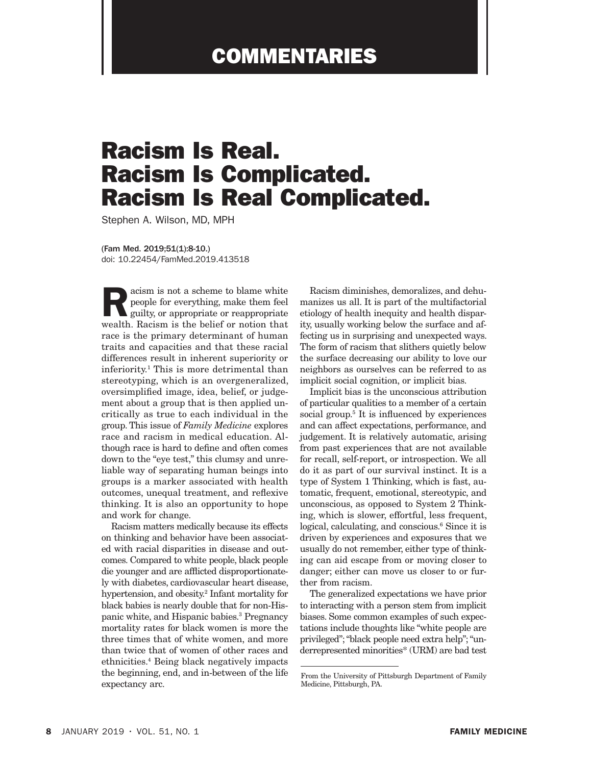## COMMENTARIES

## Racism Is Real. Racism Is Complicated. Racism Is Real Complicated.

Stephen A. Wilson, MD, MPH

(Fam Med. 2019;51(1):8-10.) doi: 10.22454/FamMed.2019.413518

**EXECUTE ISLEM**<br>
guilty, or appropriate or reappropriate<br>
guilty, or appropriate or reappropriate<br>
guilty, or appropriate or reappropriate people for everything, make them feel wealth. Racism is the belief or notion that race is the primary determinant of human traits and capacities and that these racial differences result in inherent superiority or inferiority.1 This is more detrimental than stereotyping, which is an overgeneralized, oversimplified image, idea, belief, or judgement about a group that is then applied uncritically as true to each individual in the group. This issue of *Family Medicine* explores race and racism in medical education. Although race is hard to define and often comes down to the "eye test," this clumsy and unreliable way of separating human beings into groups is a marker associated with health outcomes, unequal treatment, and reflexive thinking. It is also an opportunity to hope and work for change.

Racism matters medically because its effects on thinking and behavior have been associated with racial disparities in disease and outcomes. Compared to white people, black people die younger and are afflicted disproportionately with diabetes, cardiovascular heart disease, hypertension, and obesity.2 Infant mortality for black babies is nearly double that for non-Hispanic white, and Hispanic babies.3 Pregnancy mortality rates for black women is more the three times that of white women, and more than twice that of women of other races and ethnicities.4 Being black negatively impacts the beginning, end, and in-between of the life expectancy arc.

Racism diminishes, demoralizes, and dehumanizes us all. It is part of the multifactorial etiology of health inequity and health disparity, usually working below the surface and affecting us in surprising and unexpected ways. The form of racism that slithers quietly below the surface decreasing our ability to love our neighbors as ourselves can be referred to as implicit social cognition, or implicit bias.

Implicit bias is the unconscious attribution of particular qualities to a member of a certain social group.<sup>5</sup> It is influenced by experiences and can affect expectations, performance, and judgement. It is relatively automatic, arising from past experiences that are not available for recall, self-report, or introspection. We all do it as part of our survival instinct. It is a type of System 1 Thinking, which is fast, automatic, frequent, emotional, stereotypic, and unconscious, as opposed to System 2 Thinking, which is slower, effortful, less frequent, logical, calculating, and conscious.<sup>6</sup> Since it is driven by experiences and exposures that we usually do not remember, either type of thinking can aid escape from or moving closer to danger; either can move us closer to or further from racism.

The generalized expectations we have prior to interacting with a person stem from implicit biases. Some common examples of such expectations include thoughts like "white people are privileged"; "black people need extra help"; "underrepresented minorities\* (URM) are bad test

From the University of Pittsburgh Department of Family Medicine, Pittsburgh, PA.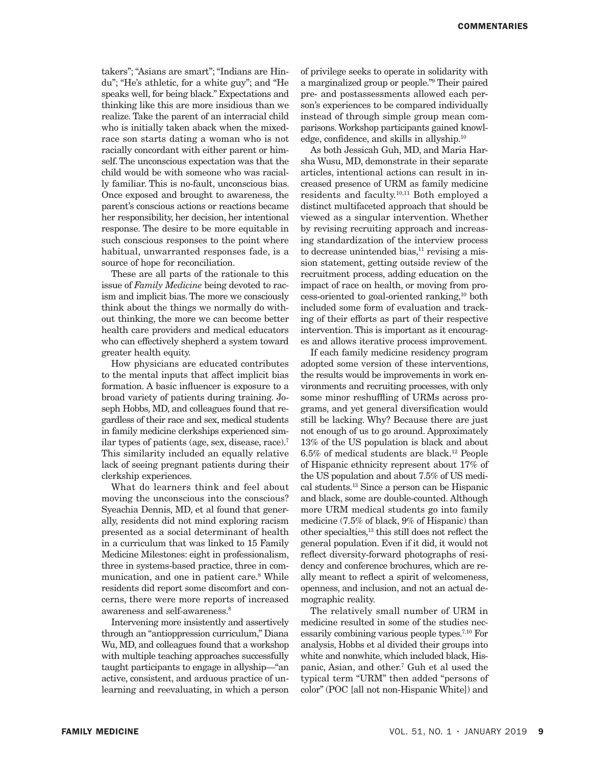takers"; "Asians are smart"; "Indians are Hindu"; "He's athletic, for a white guy"; and "He speaks well, for being black." Expectations and thinking like this are more insidious than we realize. Take the parent of an interracial child who is initially taken aback when the mixedrace son starts dating a woman who is not racially concordant with either parent or himself. The unconscious expectation was that the child would be with someone who was racially familiar. This is no-fault, unconscious bias. Once exposed and brought to awareness, the parent's conscious actions or reactions became her responsibility, her decision, her intentional response. The desire to be more equitable in such conscious responses to the point where habitual, unwarranted responses fade, is a source of hope for reconciliation.

These are all parts of the rationale to this issue of *Family Medicine* being devoted to racism and implicit bias. The more we consciously think about the things we normally do without thinking, the more we can become better health care providers and medical educators who can effectively shepherd a system toward greater health equity.

How physicians are educated contributes to the mental inputs that affect implicit bias formation. A basic influencer is exposure to a broad variety of patients during training. Joseph Hobbs, MD, and colleagues found that regardless of their race and sex, medical students in family medicine clerkships experienced similar types of patients (age, sex, disease, race).7 This similarity included an equally relative lack of seeing pregnant patients during their clerkship experiences.

What do learners think and feel about moving the unconscious into the conscious? Syeachia Dennis, MD, et al found that generally, residents did not mind exploring racism presented as a social determinant of health in a curriculum that was linked to 15 Family Medicine Milestones: eight in professionalism, three in systems-based practice, three in communication, and one in patient care.<sup>8</sup> While residents did report some discomfort and concerns, there were more reports of increased awareness and self-awareness.<sup>8</sup>

Intervening more insistently and assertively through an "antioppression curriculum," Diana Wu, MD, and colleagues found that a workshop with multiple teaching approaches successfully taught participants to engage in allyship—"an active, consistent, and arduous practice of unlearning and reevaluating, in which a person of privilege seeks to operate in solidarity with a marginalized group or people."9 Their paired pre- and postassessments allowed each person's experiences to be compared individually instead of through simple group mean comparisons. Workshop participants gained knowledge, confidence, and skills in allyship.10

As both Jessicah Guh, MD, and Maria Harsha Wusu, MD, demonstrate in their separate articles, intentional actions can result in increased presence of URM as family medicine residents and faculty.10,11 Both employed a distinct multifaceted approach that should be viewed as a singular intervention. Whether by revising recruiting approach and increasing standardization of the interview process to decrease unintended bias, $11$  revising a mission statement, getting outside review of the recruitment process, adding education on the impact of race on health, or moving from process-oriented to goal-oriented ranking,10 both included some form of evaluation and tracking of their efforts as part of their respective intervention. This is important as it encourages and allows iterative process improvement.

If each family medicine residency program adopted some version of these interventions, the results would be improvements in work environments and recruiting processes, with only some minor reshuffling of URMs across programs, and yet general diversification would still be lacking. Why? Because there are just not enough of us to go around. Approximately 13% of the US population is black and about 6.5% of medical students are black.12 People of Hispanic ethnicity represent about 17% of the US population and about 7.5% of US medical students.13 Since a person can be Hispanic and black, some are double-counted. Although more URM medical students go into family medicine (7.5% of black, 9% of Hispanic) than other specialties,13 this still does not reflect the general population. Even if it did, it would not reflect diversity-forward photographs of residency and conference brochures, which are really meant to reflect a spirit of welcomeness, openness, and inclusion, and not an actual demographic reality.

The relatively small number of URM in medicine resulted in some of the studies necessarily combining various people types.7,10 For analysis, Hobbs et al divided their groups into white and nonwhite, which included black, Hispanic, Asian, and other.7 Guh et al used the typical term "URM" then added "persons of color" (POC [all not non-Hispanic White]) and